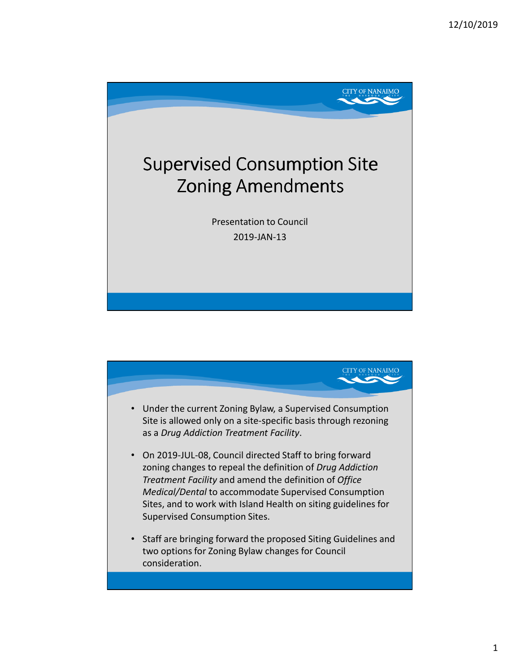

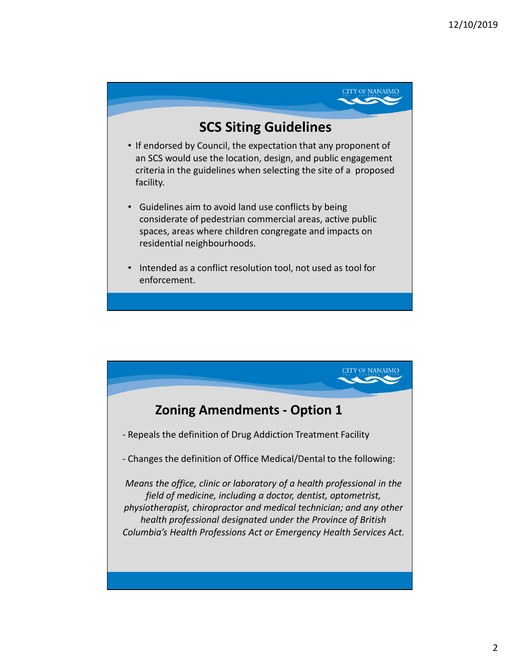

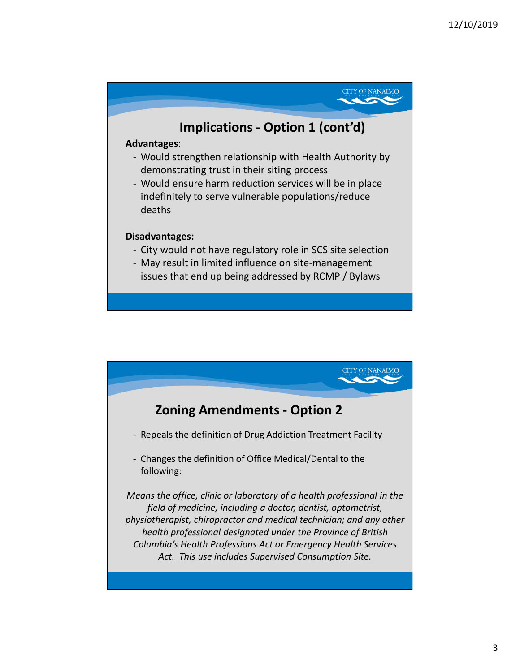

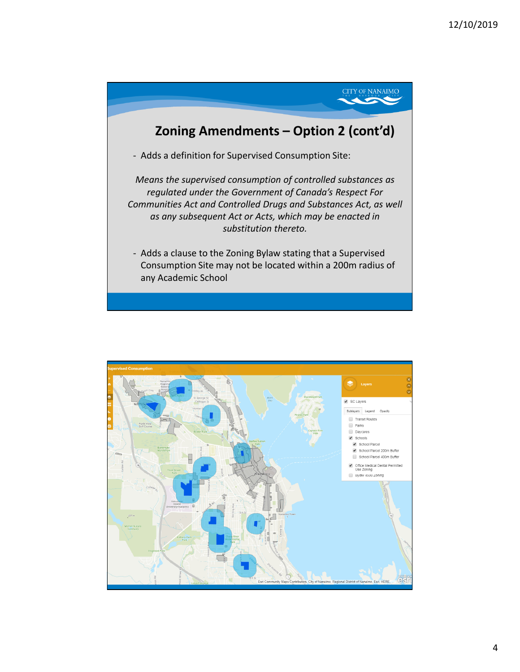

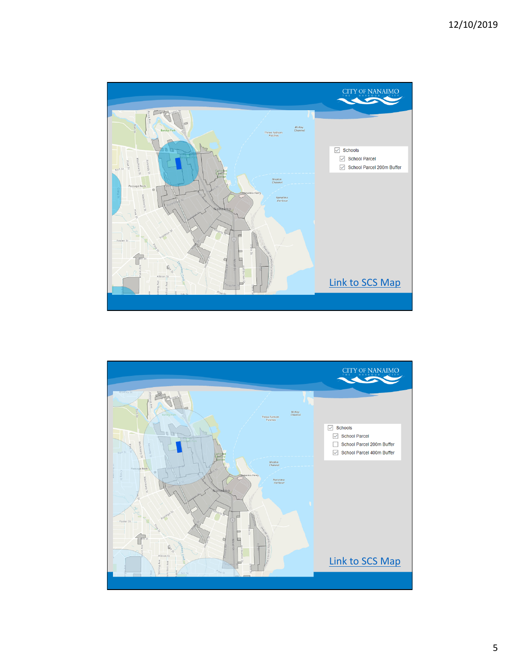